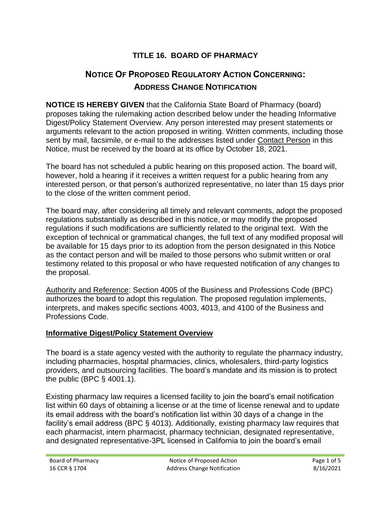# **TITLE 16. BOARD OF PHARMACY**

# **NOTICE OF PROPOSED REGULATORY ACTION CONCERNING: ADDRESS CHANGE NOTIFICATION**

**NOTICE IS HEREBY GIVEN** that the California State Board of Pharmacy (board) proposes taking the rulemaking action described below under the heading Informative Digest/Policy Statement Overview. Any person interested may present statements or arguments relevant to the action proposed in writing. Written comments, including those sent by mail, facsimile, or e-mail to the addresses listed under Contact Person in this Notice, must be received by the board at its office by October 18, 2021.

The board has not scheduled a public hearing on this proposed action. The board will, however, hold a hearing if it receives a written request for a public hearing from any interested person, or that person's authorized representative, no later than 15 days prior to the close of the written comment period.

The board may, after considering all timely and relevant comments, adopt the proposed regulations substantially as described in this notice, or may modify the proposed regulations if such modifications are sufficiently related to the original text. With the exception of technical or grammatical changes, the full text of any modified proposal will be available for 15 days prior to its adoption from the person designated in this Notice as the contact person and will be mailed to those persons who submit written or oral testimony related to this proposal or who have requested notification of any changes to the proposal.

Authority and Reference: Section 4005 of the Business and Professions Code (BPC) authorizes the board to adopt this regulation. The proposed regulation implements, interprets, and makes specific sections 4003, 4013, and 4100 of the Business and Professions Code.

#### **Informative Digest/Policy Statement Overview**

The board is a state agency vested with the authority to regulate the pharmacy industry, including pharmacies, hospital pharmacies, clinics, wholesalers, third-party logistics providers, and outsourcing facilities. The board's mandate and its mission is to protect the public (BPC § 4001.1).

Existing pharmacy law requires a licensed facility to join the board's email notification list within 60 days of obtaining a license or at the time of license renewal and to update its email address with the board's notification list within 30 days of a change in the facility's email address (BPC § 4013). Additionally, existing pharmacy law requires that each pharmacist, intern pharmacist, pharmacy technician, designated representative, and designated representative-3PL licensed in California to join the board's email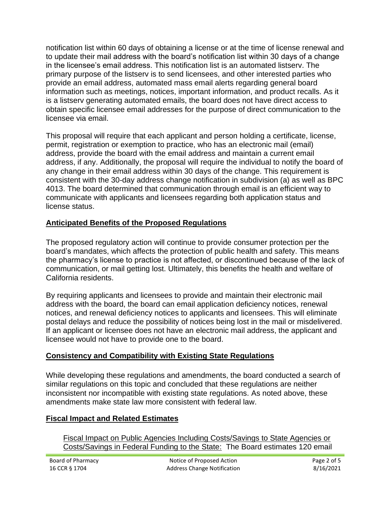notification list within 60 days of obtaining a license or at the time of license renewal and to update their mail address with the board's notification list within 30 days of a change in the licensee's email address. This notification list is an automated listserv. The primary purpose of the listserv is to send licensees, and other interested parties who provide an email address, automated mass email alerts regarding general board information such as meetings, notices, important information, and product recalls. As it is a listserv generating automated emails, the board does not have direct access to obtain specific licensee email addresses for the purpose of direct communication to the licensee via email.

This proposal will require that each applicant and person holding a certificate, license, permit, registration or exemption to practice, who has an electronic mail (email) address, provide the board with the email address and maintain a current email address, if any. Additionally, the proposal will require the individual to notify the board of any change in their email address within 30 days of the change. This requirement is consistent with the 30-day address change notification in subdivision (a) as well as BPC 4013. The board determined that communication through email is an efficient way to communicate with applicants and licensees regarding both application status and license status.

# **Anticipated Benefits of the Proposed Regulations**

The proposed regulatory action will continue to provide consumer protection per the board's mandates, which affects the protection of public health and safety. This means the pharmacy's license to practice is not affected, or discontinued because of the lack of communication, or mail getting lost. Ultimately, this benefits the health and welfare of California residents.

By requiring applicants and licensees to provide and maintain their electronic mail address with the board, the board can email application deficiency notices, renewal notices, and renewal deficiency notices to applicants and licensees. This will eliminate postal delays and reduce the possibility of notices being lost in the mail or misdelivered. If an applicant or licensee does not have an electronic mail address, the applicant and licensee would not have to provide one to the board.

# **Consistency and Compatibility with Existing State Regulations**

While developing these regulations and amendments, the board conducted a search of similar regulations on this topic and concluded that these regulations are neither inconsistent nor incompatible with existing state regulations. As noted above, these amendments make state law more consistent with federal law.

# **Fiscal Impact and Related Estimates**

Fiscal Impact on Public Agencies Including Costs/Savings to State Agencies or Costs/Savings in Federal Funding to the State: The Board estimates 120 email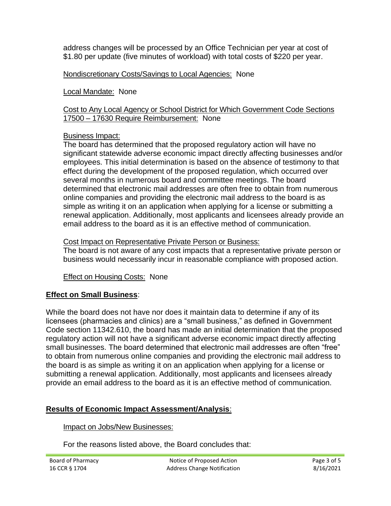address changes will be processed by an Office Technician per year at cost of \$1.80 per update (five minutes of workload) with total costs of \$220 per year.

Nondiscretionary Costs/Savings to Local Agencies: None

Local Mandate: None

Cost to Any Local Agency or School District for Which Government Code Sections 17500 – 17630 Require Reimbursement: None

### Business Impact:

The board has determined that the proposed regulatory action will have no significant statewide adverse economic impact directly affecting businesses and/or employees. This initial determination is based on the absence of testimony to that effect during the development of the proposed regulation, which occurred over several months in numerous board and committee meetings. The board determined that electronic mail addresses are often free to obtain from numerous online companies and providing the electronic mail address to the board is as simple as writing it on an application when applying for a license or submitting a renewal application. Additionally, most applicants and licensees already provide an email address to the board as it is an effective method of communication.

### Cost Impact on Representative Private Person or Business:

The board is not aware of any cost impacts that a representative private person or business would necessarily incur in reasonable compliance with proposed action.

Effect on Housing Costs: None

# **Effect on Small Business**:

While the board does not have nor does it maintain data to determine if any of its licensees (pharmacies and clinics) are a "small business," as defined in Government Code section 11342.610, the board has made an initial determination that the proposed regulatory action will not have a significant adverse economic impact directly affecting small businesses. The board determined that electronic mail addresses are often "free" to obtain from numerous online companies and providing the electronic mail address to the board is as simple as writing it on an application when applying for a license or submitting a renewal application. Additionally, most applicants and licensees already provide an email address to the board as it is an effective method of communication.

# **Results of Economic Impact Assessment/Analysis**:

Impact on Jobs/New Businesses:

For the reasons listed above, the Board concludes that: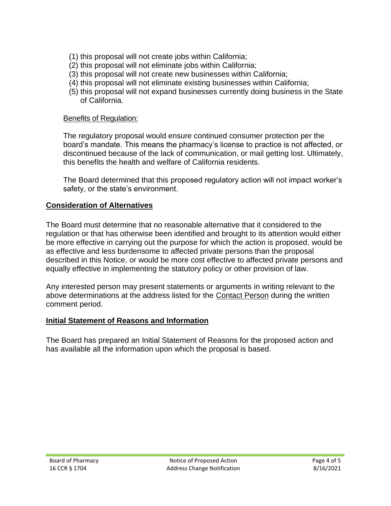- (1) this proposal will not create jobs within California;
- (2) this proposal will not eliminate jobs within California;
- (3) this proposal will not create new businesses within California;
- (4) this proposal will not eliminate existing businesses within California;
- (5) this proposal will not expand businesses currently doing business in the State of California.

### Benefits of Regulation:

The regulatory proposal would ensure continued consumer protection per the board's mandate. This means the pharmacy's license to practice is not affected, or discontinued because of the lack of communication, or mail getting lost. Ultimately, this benefits the health and welfare of California residents.

The Board determined that this proposed regulatory action will not impact worker's safety, or the state's environment.

# **Consideration of Alternatives**

The Board must determine that no reasonable alternative that it considered to the regulation or that has otherwise been identified and brought to its attention would either be more effective in carrying out the purpose for which the action is proposed, would be as effective and less burdensome to affected private persons than the proposal described in this Notice, or would be more cost effective to affected private persons and equally effective in implementing the statutory policy or other provision of law.

Any interested person may present statements or arguments in writing relevant to the above determinations at the address listed for the Contact Person during the written comment period.

# **Initial Statement of Reasons and Information**

The Board has prepared an Initial Statement of Reasons for the proposed action and has available all the information upon which the proposal is based.